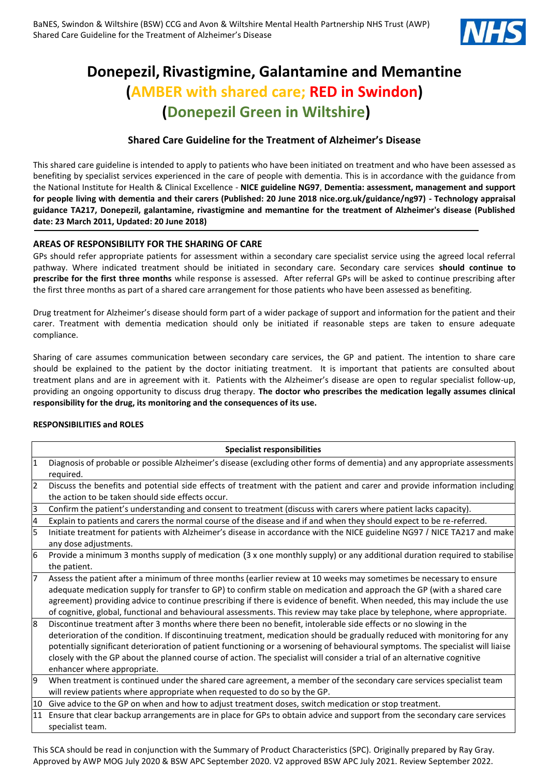

# **Donepezil, Rivastigmine, Galantamine and Memantine (AMBER with shared care; RED in Swindon) (Donepezil Green in Wiltshire)**

# **Shared Care Guideline for the Treatment of Alzheimer's Disease**

This shared care guideline is intended to apply to patients who have been initiated on treatment and who have been assessed as benefiting by specialist services experienced in the care of people with dementia. This is in accordance with the guidance from the National Institute for Health & Clinical Excellence - **NICE guideline NG97**, **Dementia: assessment, management and support for people living with dementia and their carers (Published: 20 June 2018 nice.org.uk/guidance/ng97) - Technology appraisal guidance TA217, Donepezil, galantamine, rivastigmine and memantine for the treatment of Alzheimer's disease (Published date: 23 March 2011, Updated: 20 June 2018)**

## **AREAS OF RESPONSIBILITY FOR THE SHARING OF CARE**

GPs should refer appropriate patients for assessment within a secondary care specialist service using the agreed local referral pathway. Where indicated treatment should be initiated in secondary care. Secondary care services **should continue to prescribe for the first three months** while response is assessed. After referral GPs will be asked to continue prescribing after the first three months as part of a shared care arrangement for those patients who have been assessed as benefiting.

Drug treatment for Alzheimer's disease should form part of a wider package of support and information for the patient and their carer. Treatment with dementia medication should only be initiated if reasonable steps are taken to ensure adequate compliance.

Sharing of care assumes communication between secondary care services, the GP and patient. The intention to share care should be explained to the patient by the doctor initiating treatment. It is important that patients are consulted about treatment plans and are in agreement with it. Patients with the Alzheimer's disease are open to regular specialist follow-up, providing an ongoing opportunity to discuss drug therapy. **The doctor who prescribes the medication legally assumes clinical responsibility for the drug, its monitoring and the consequences of its use.**

### **RESPONSIBILITIES and ROLES**

| <b>Specialist responsibilities</b> |                                                                                                                                                                                                                                                                                                                                                                                                                                                                                                                                             |  |  |  |  |
|------------------------------------|---------------------------------------------------------------------------------------------------------------------------------------------------------------------------------------------------------------------------------------------------------------------------------------------------------------------------------------------------------------------------------------------------------------------------------------------------------------------------------------------------------------------------------------------|--|--|--|--|
| $\mathbf{1}$                       | Diagnosis of probable or possible Alzheimer's disease (excluding other forms of dementia) and any appropriate assessments<br>required.                                                                                                                                                                                                                                                                                                                                                                                                      |  |  |  |  |
| $\overline{2}$                     | Discuss the benefits and potential side effects of treatment with the patient and carer and provide information including<br>the action to be taken should side effects occur.                                                                                                                                                                                                                                                                                                                                                              |  |  |  |  |
| 3                                  | Confirm the patient's understanding and consent to treatment (discuss with carers where patient lacks capacity).                                                                                                                                                                                                                                                                                                                                                                                                                            |  |  |  |  |
| $\overline{a}$                     | Explain to patients and carers the normal course of the disease and if and when they should expect to be re-referred.                                                                                                                                                                                                                                                                                                                                                                                                                       |  |  |  |  |
| 5                                  | Initiate treatment for patients with Alzheimer's disease in accordance with the NICE guideline NG97 / NICE TA217 and make<br>any dose adjustments.                                                                                                                                                                                                                                                                                                                                                                                          |  |  |  |  |
| 6                                  | Provide a minimum 3 months supply of medication (3 x one monthly supply) or any additional duration required to stabilise<br>the patient.                                                                                                                                                                                                                                                                                                                                                                                                   |  |  |  |  |
| 7                                  | Assess the patient after a minimum of three months (earlier review at 10 weeks may sometimes be necessary to ensure<br>adequate medication supply for transfer to GP) to confirm stable on medication and approach the GP (with a shared care<br>agreement) providing advice to continue prescribing if there is evidence of benefit. When needed, this may include the use<br>of cognitive, global, functional and behavioural assessments. This review may take place by telephone, where appropriate.                                    |  |  |  |  |
| 8                                  | Discontinue treatment after 3 months where there been no benefit, intolerable side effects or no slowing in the<br>deterioration of the condition. If discontinuing treatment, medication should be gradually reduced with monitoring for any<br>potentially significant deterioration of patient functioning or a worsening of behavioural symptoms. The specialist will liaise<br>closely with the GP about the planned course of action. The specialist will consider a trial of an alternative cognitive<br>enhancer where appropriate. |  |  |  |  |
| 9                                  | When treatment is continued under the shared care agreement, a member of the secondary care services specialist team<br>will review patients where appropriate when requested to do so by the GP.                                                                                                                                                                                                                                                                                                                                           |  |  |  |  |
| 10                                 | Give advice to the GP on when and how to adjust treatment doses, switch medication or stop treatment.                                                                                                                                                                                                                                                                                                                                                                                                                                       |  |  |  |  |
| 11                                 | Ensure that clear backup arrangements are in place for GPs to obtain advice and support from the secondary care services<br>specialist team.                                                                                                                                                                                                                                                                                                                                                                                                |  |  |  |  |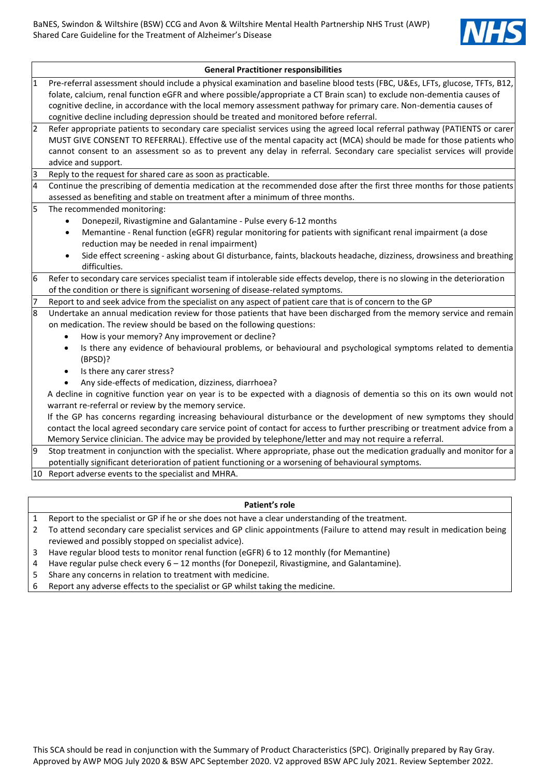

|                                                                                                                        | <b>General Practitioner responsibilities</b>                                                                                      |  |  |  |  |
|------------------------------------------------------------------------------------------------------------------------|-----------------------------------------------------------------------------------------------------------------------------------|--|--|--|--|
| $\mathbf{1}$                                                                                                           | Pre-referral assessment should include a physical examination and baseline blood tests (FBC, U&Es, LFTs, glucose, TFTs, B12,      |  |  |  |  |
| folate, calcium, renal function eGFR and where possible/appropriate a CT Brain scan) to exclude non-dementia causes of |                                                                                                                                   |  |  |  |  |
|                                                                                                                        | cognitive decline, in accordance with the local memory assessment pathway for primary care. Non-dementia causes of                |  |  |  |  |
|                                                                                                                        | cognitive decline including depression should be treated and monitored before referral.                                           |  |  |  |  |
| $\overline{2}$                                                                                                         | Refer appropriate patients to secondary care specialist services using the agreed local referral pathway (PATIENTS or carer       |  |  |  |  |
|                                                                                                                        | MUST GIVE CONSENT TO REFERRAL). Effective use of the mental capacity act (MCA) should be made for those patients who              |  |  |  |  |
|                                                                                                                        | cannot consent to an assessment so as to prevent any delay in referral. Secondary care specialist services will provide           |  |  |  |  |
|                                                                                                                        | advice and support.                                                                                                               |  |  |  |  |
| 3                                                                                                                      | Reply to the request for shared care as soon as practicable.                                                                      |  |  |  |  |
| $\overline{4}$                                                                                                         | Continue the prescribing of dementia medication at the recommended dose after the first three months for those patients           |  |  |  |  |
|                                                                                                                        | assessed as benefiting and stable on treatment after a minimum of three months.                                                   |  |  |  |  |
| 5                                                                                                                      | The recommended monitoring:                                                                                                       |  |  |  |  |
|                                                                                                                        | Donepezil, Rivastigmine and Galantamine - Pulse every 6-12 months<br>$\bullet$                                                    |  |  |  |  |
|                                                                                                                        | Memantine - Renal function (eGFR) regular monitoring for patients with significant renal impairment (a dose<br>$\bullet$          |  |  |  |  |
|                                                                                                                        | reduction may be needed in renal impairment)                                                                                      |  |  |  |  |
|                                                                                                                        | Side effect screening - asking about GI disturbance, faints, blackouts headache, dizziness, drowsiness and breathing<br>$\bullet$ |  |  |  |  |
|                                                                                                                        | difficulties.                                                                                                                     |  |  |  |  |
| 6                                                                                                                      | Refer to secondary care services specialist team if intolerable side effects develop, there is no slowing in the deterioration    |  |  |  |  |
|                                                                                                                        | of the condition or there is significant worsening of disease-related symptoms.                                                   |  |  |  |  |
| $\overline{7}$                                                                                                         | Report to and seek advice from the specialist on any aspect of patient care that is of concern to the GP                          |  |  |  |  |
| $\overline{8}$                                                                                                         | Undertake an annual medication review for those patients that have been discharged from the memory service and remain             |  |  |  |  |
|                                                                                                                        | on medication. The review should be based on the following questions:                                                             |  |  |  |  |
|                                                                                                                        | How is your memory? Any improvement or decline?<br>$\bullet$                                                                      |  |  |  |  |
|                                                                                                                        | Is there any evidence of behavioural problems, or behavioural and psychological symptoms related to dementia<br>$\bullet$         |  |  |  |  |
|                                                                                                                        | (BPSD)?                                                                                                                           |  |  |  |  |
|                                                                                                                        | Is there any carer stress?<br>$\bullet$                                                                                           |  |  |  |  |
|                                                                                                                        | Any side-effects of medication, dizziness, diarrhoea?                                                                             |  |  |  |  |
|                                                                                                                        | A decline in cognitive function year on year is to be expected with a diagnosis of dementia so this on its own would not          |  |  |  |  |
|                                                                                                                        | warrant re-referral or review by the memory service.                                                                              |  |  |  |  |
|                                                                                                                        | If the GP has concerns regarding increasing behavioural disturbance or the development of new symptoms they should                |  |  |  |  |
|                                                                                                                        | contact the local agreed secondary care service point of contact for access to further prescribing or treatment advice from a     |  |  |  |  |
|                                                                                                                        | Memory Service clinician. The advice may be provided by telephone/letter and may not require a referral.                          |  |  |  |  |
| 9                                                                                                                      | Stop treatment in conjunction with the specialist. Where appropriate, phase out the medication gradually and monitor for a        |  |  |  |  |
|                                                                                                                        | potentially significant deterioration of patient functioning or a worsening of behavioural symptoms.                              |  |  |  |  |
|                                                                                                                        | 10 Report adverse events to the specialist and MHRA.                                                                              |  |  |  |  |

#### **Patient's role**

- 1 Report to the specialist or GP if he or she does not have a clear understanding of the treatment.
- 2 To attend secondary care specialist services and GP clinic appointments (Failure to attend may result in medication being reviewed and possibly stopped on specialist advice).
- 3 Have regular blood tests to monitor renal function (eGFR) 6 to 12 monthly (for Memantine)
- 4 Have regular pulse check every 6 12 months (for Donepezil, Rivastigmine, and Galantamine).
- 5 Share any concerns in relation to treatment with medicine.
- 6 Report any adverse effects to the specialist or GP whilst taking the medicine.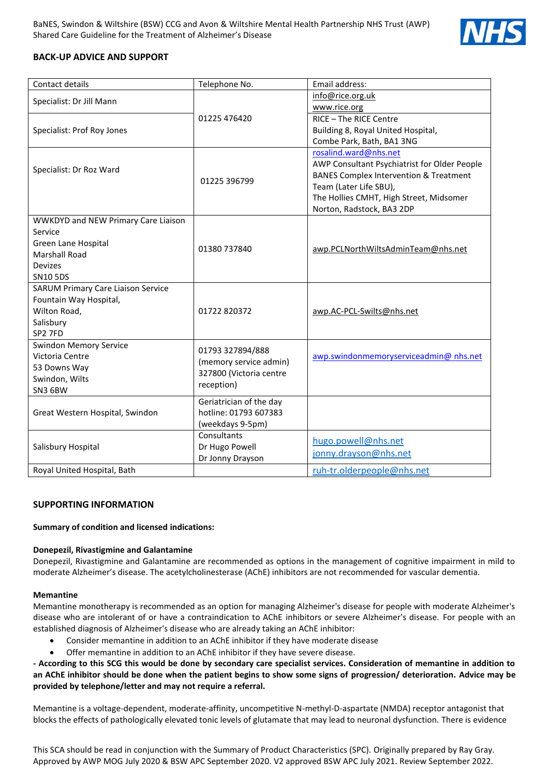

# **BACK-UP ADVICE AND SUPPORT**

| Contact details                           | Telephone No.           | Email address:                                    |  |
|-------------------------------------------|-------------------------|---------------------------------------------------|--|
| Specialist: Dr Jill Mann                  |                         | info@rice.org.uk                                  |  |
|                                           |                         | www.rice.org                                      |  |
|                                           | 01225 476420            | RICE - The RICE Centre                            |  |
| Specialist: Prof Roy Jones                |                         | Building 8, Royal United Hospital,                |  |
|                                           |                         | Combe Park, Bath, BA1 3NG                         |  |
|                                           |                         | rosalind.ward@nhs.net                             |  |
| Specialist: Dr Roz Ward                   | 01225 396799            | AWP Consultant Psychiatrist for Older People      |  |
|                                           |                         | <b>BANES Complex Intervention &amp; Treatment</b> |  |
|                                           |                         | Team (Later Life SBU),                            |  |
|                                           |                         | The Hollies CMHT, High Street, Midsomer           |  |
|                                           |                         | Norton, Radstock, BA3 2DP                         |  |
| WWKDYD and NEW Primary Care Liaison       |                         |                                                   |  |
| Service                                   |                         |                                                   |  |
| Green Lane Hospital                       | 01380 737840            | awp.PCLNorthWiltsAdminTeam@nhs.net                |  |
| <b>Marshall Road</b>                      |                         |                                                   |  |
| <b>Devizes</b>                            |                         |                                                   |  |
| <b>SN10 5DS</b>                           |                         |                                                   |  |
| <b>SARUM Primary Care Liaison Service</b> |                         |                                                   |  |
| Fountain Way Hospital,                    |                         |                                                   |  |
| Wilton Road,                              | 01722 820372            | awp.AC-PCL-Swilts@nhs.net                         |  |
| Salisbury                                 |                         |                                                   |  |
| SP2 7FD                                   |                         |                                                   |  |
| <b>Swindon Memory Service</b>             | 01793 327894/888        |                                                   |  |
| Victoria Centre                           | (memory service admin)  | awp.swindonmemoryserviceadmin@ nhs.net            |  |
| 53 Downs Way<br>Swindon, Wilts            | 327800 (Victoria centre |                                                   |  |
| SN3 6BW                                   | reception)              |                                                   |  |
|                                           | Geriatrician of the day |                                                   |  |
| Great Western Hospital, Swindon           | hotline: 01793 607383   |                                                   |  |
|                                           | (weekdays 9-5pm)        |                                                   |  |
|                                           | Consultants             |                                                   |  |
| Salisbury Hospital                        | Dr Hugo Powell          | hugo.powell@nhs.net                               |  |
|                                           | Dr Jonny Drayson        | jonny.drayson@nhs.net                             |  |
| Royal United Hospital, Bath               |                         | ruh-tr.olderpeople@nhs.net                        |  |

### **SUPPORTING INFORMATION**

#### **Summary of condition and licensed indications:**

#### **Donepezil, Rivastigmine and Galantamine**

Donepezil, Rivastigmine and Galantamine are recommended as options in the management of cognitive impairment in mild to moderate Alzheimer's disease. The acetylcholinesterase (AChE) inhibitors are not recommended for vascular dementia.

#### **Memantine**

Memantine monotherapy is recommended as an option for managing Alzheimer's disease for people with moderate Alzheimer's disease who are intolerant of or have a contraindication to AChE inhibitors or severe Alzheimer's disease. For people with an established diagnosis of Alzheimer's disease who are already taking an AChE inhibitor:

- Consider memantine in addition to an AChE inhibitor if they have moderate disease
- Offer memantine in addition to an AChE inhibitor if they have severe disease.

**- According to this SCG this would be done by secondary care specialist services. Consideration of memantine in addition to an AChE inhibitor should be done when the patient begins to show some signs of progression/ deterioration. Advice may be provided by telephone/letter and may not require a referral.**

Memantine is a voltage-dependent, moderate-affinity, uncompetitive N-methyl-D-aspartate (NMDA) receptor antagonist that blocks the effects of pathologically elevated tonic levels of glutamate that may lead to neuronal dysfunction. There is evidence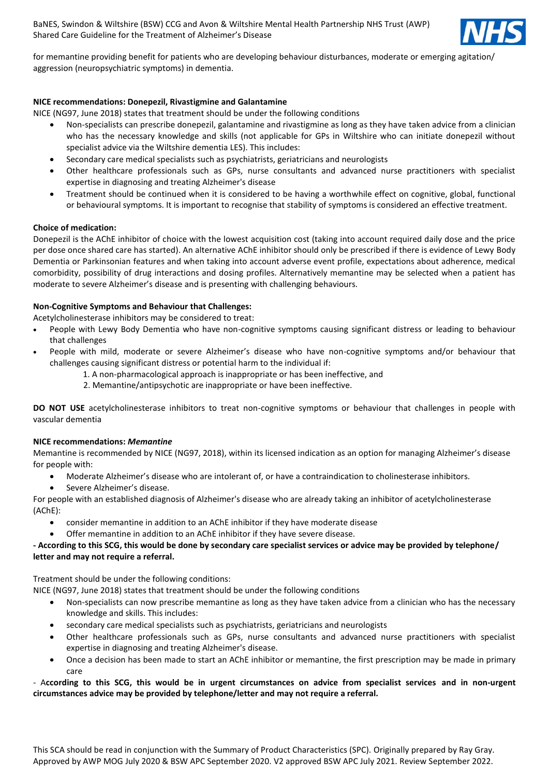

for memantine providing benefit for patients who are developing behaviour disturbances, moderate or emerging agitation/ aggression (neuropsychiatric symptoms) in dementia.

#### **NICE recommendations: Donepezil, Rivastigmine and Galantamine**

NICE (NG97, June 2018) states that treatment should be under the following conditions

- Non-specialists can prescribe donepezil, galantamine and rivastigmine as long as they have taken advice from a clinician who has the necessary knowledge and skills (not applicable for GPs in Wiltshire who can initiate donepezil without specialist advice via the Wiltshire dementia LES). This includes:
- Secondary care medical specialists such as psychiatrists, geriatricians and neurologists
- Other healthcare professionals such as GPs, nurse consultants and advanced nurse practitioners with specialist expertise in diagnosing and treating Alzheimer's disease
- Treatment should be continued when it is considered to be having a worthwhile effect on cognitive, global, functional or behavioural symptoms. It is important to recognise that stability of symptoms is considered an effective treatment.

#### **Choice of medication:**

Donepezil is the AChE inhibitor of choice with the lowest acquisition cost (taking into account required daily dose and the price per dose once shared care has started). An alternative AChE inhibitor should only be prescribed if there is evidence of Lewy Body Dementia or Parkinsonian features and when taking into account adverse event profile, expectations about adherence, medical comorbidity, possibility of drug interactions and dosing profiles. Alternatively memantine may be selected when a patient has moderate to severe Alzheimer's disease and is presenting with challenging behaviours.

#### **Non-Cognitive Symptoms and Behaviour that Challenges:**

Acetylcholinesterase inhibitors may be considered to treat:

- People with Lewy Body Dementia who have non-cognitive symptoms causing significant distress or leading to behaviour that challenges
- People with mild, moderate or severe Alzheimer's disease who have non-cognitive symptoms and/or behaviour that challenges causing significant distress or potential harm to the individual if:
	- 1. A non-pharmacological approach is inappropriate or has been ineffective, and
	- 2. Memantine/antipsychotic are inappropriate or have been ineffective.

**DO NOT USE** acetylcholinesterase inhibitors to treat non-cognitive symptoms or behaviour that challenges in people with vascular dementia

#### **NICE recommendations:** *Memantine*

Memantine is recommended by NICE (NG97, 2018), within its licensed indication as an option for managing Alzheimer's disease for people with:

- Moderate Alzheimer's disease who are intolerant of, or have a contraindication to cholinesterase inhibitors.
- Severe Alzheimer's disease.

For people with an established diagnosis of Alzheimer's disease who are already taking an inhibitor of acetylcholinesterase (AChE):

- consider memantine in addition to an AChE inhibitor if they have moderate disease
- Offer memantine in addition to an AChE inhibitor if they have severe disease.

#### **- According to this SCG, this would be done by secondary care specialist services or advice may be provided by telephone/ letter and may not require a referral.**

Treatment should be under the following conditions:

NICE (NG97, June 2018) states that treatment should be under the following conditions

- Non-specialists can now prescribe memantine as long as they have taken advice from a clinician who has the necessary knowledge and skills. This includes:
- secondary care medical specialists such as psychiatrists, geriatricians and neurologists
- Other healthcare professionals such as GPs, nurse consultants and advanced nurse practitioners with specialist expertise in diagnosing and treating Alzheimer's disease.
- Once a decision has been made to start an AChE inhibitor or memantine, the first prescription may be made in primary care

#### - A**ccording to this SCG, this would be in urgent circumstances on advice from specialist services and in non-urgent circumstances advice may be provided by telephone/letter and may not require a referral.**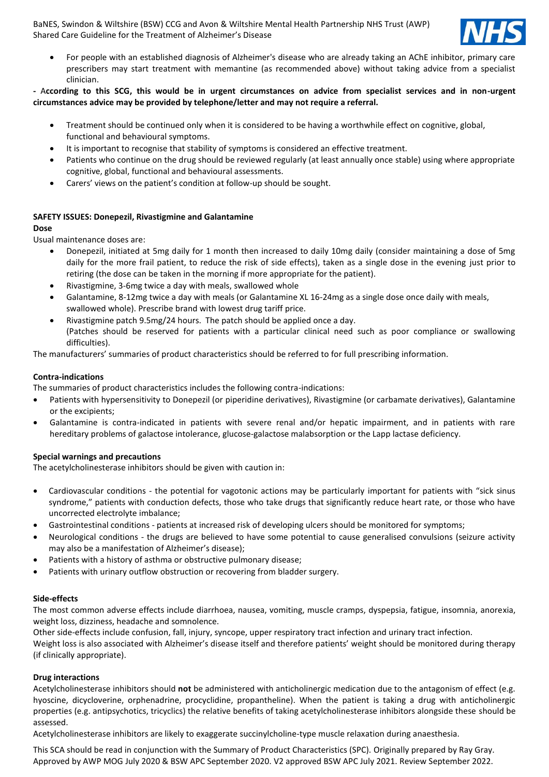

 For people with an established diagnosis of Alzheimer's disease who are already taking an AChE inhibitor, primary care prescribers may start treatment with memantine (as recommended above) without taking advice from a specialist clinician.

#### **-** A**ccording to this SCG, this would be in urgent circumstances on advice from specialist services and in non-urgent circumstances advice may be provided by telephone/letter and may not require a referral.**

- Treatment should be continued only when it is considered to be having a worthwhile effect on cognitive, global, functional and behavioural symptoms.
- It is important to recognise that stability of symptoms is considered an effective treatment.
- Patients who continue on the drug should be reviewed regularly (at least annually once stable) using where appropriate cognitive, global, functional and behavioural assessments.
- Carers' views on the patient's condition at follow-up should be sought.

### **SAFETY ISSUES: Donepezil, Rivastigmine and Galantamine**

#### **Dose**

Usual maintenance doses are:

- Donepezil, initiated at 5mg daily for 1 month then increased to daily 10mg daily (consider maintaining a dose of 5mg daily for the more frail patient, to reduce the risk of side effects), taken as a single dose in the evening just prior to retiring (the dose can be taken in the morning if more appropriate for the patient).
- Rivastigmine, 3-6mg twice a day with meals, swallowed whole
- Galantamine, 8-12mg twice a day with meals (or Galantamine XL 16-24mg as a single dose once daily with meals, swallowed whole). Prescribe brand with lowest drug tariff price.
- Rivastigmine patch 9.5mg/24 hours. The patch should be applied once a day. (Patches should be reserved for patients with a particular clinical need such as poor compliance or swallowing difficulties).

The manufacturers' summaries of product characteristics should be referred to for full prescribing information.

#### **Contra-indications**

The summaries of product characteristics includes the following contra-indications:

- Patients with hypersensitivity to Donepezil (or piperidine derivatives), Rivastigmine (or carbamate derivatives), Galantamine or the excipients;
- Galantamine is contra-indicated in patients with severe renal and/or hepatic impairment, and in patients with rare hereditary problems of galactose intolerance, glucose-galactose malabsorption or the Lapp lactase deficiency.

#### **Special warnings and precautions**

The acetylcholinesterase inhibitors should be given with caution in:

- Cardiovascular conditions the potential for vagotonic actions may be particularly important for patients with "sick sinus syndrome," patients with conduction defects, those who take drugs that significantly reduce heart rate, or those who have uncorrected electrolyte imbalance;
- Gastrointestinal conditions patients at increased risk of developing ulcers should be monitored for symptoms;
- Neurological conditions the drugs are believed to have some potential to cause generalised convulsions (seizure activity may also be a manifestation of Alzheimer's disease);
- Patients with a history of asthma or obstructive pulmonary disease;
- Patients with urinary outflow obstruction or recovering from bladder surgery.

#### **Side-effects**

The most common adverse effects include diarrhoea, nausea, vomiting, muscle cramps, dyspepsia, fatigue, insomnia, anorexia, weight loss, dizziness, headache and somnolence.

Other side-effects include confusion, fall, injury, syncope, upper respiratory tract infection and urinary tract infection. Weight loss is also associated with Alzheimer's disease itself and therefore patients' weight should be monitored during therapy (if clinically appropriate).

#### **Drug interactions**

Acetylcholinesterase inhibitors should **not** be administered with anticholinergic medication due to the antagonism of effect (e.g. hyoscine, dicycloverine, orphenadrine, procyclidine, propantheline). When the patient is taking a drug with anticholinergic properties (e.g. antipsychotics, tricyclics) the relative benefits of taking acetylcholinesterase inhibitors alongside these should be assessed.

Acetylcholinesterase inhibitors are likely to exaggerate succinylcholine-type muscle relaxation during anaesthesia.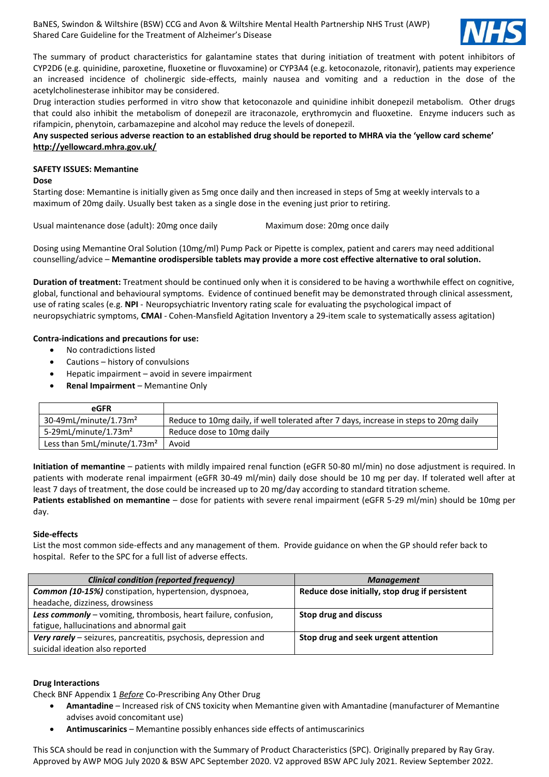

The summary of product characteristics for galantamine states that during initiation of treatment with potent inhibitors of CYP2D6 (e.g. quinidine, paroxetine, fluoxetine or fluvoxamine) or CYP3A4 (e.g. ketoconazole, ritonavir), patients may experience an increased incidence of cholinergic side-effects, mainly nausea and vomiting and a reduction in the dose of the acetylcholinesterase inhibitor may be considered.

Drug interaction studies performed in vitro show that ketoconazole and quinidine inhibit donepezil metabolism. Other drugs that could also inhibit the metabolism of donepezil are itraconazole, erythromycin and fluoxetine. Enzyme inducers such as rifampicin, phenytoin, carbamazepine and alcohol may reduce the levels of donepezil.

**Any suspected serious adverse reaction to an established drug should be reported to MHRA via the 'yellow card scheme' <http://yellowcard.mhra.gov.uk/>**

#### **SAFETY ISSUES: Memantine**

#### **Dose**

Starting dose: Memantine is initially given as 5mg once daily and then increased in steps of 5mg at weekly intervals to a maximum of 20mg daily. Usually best taken as a single dose in the evening just prior to retiring.

Usual maintenance dose (adult): 20mg once daily Maximum dose: 20mg once daily

Dosing using Memantine Oral Solution (10mg/ml) Pump Pack or Pipette is complex, patient and carers may need additional counselling/advice – **Memantine orodispersible tablets may provide a more cost effective alternative to oral solution.**

**Duration of treatment:** Treatment should be continued only when it is considered to be having a worthwhile effect on cognitive, global, functional and behavioural symptoms. Evidence of continued benefit may be demonstrated through clinical assessment, use of rating scales (e.g. **NPI** - Neuropsychiatric Inventory rating scale for evaluating the psychological impact of neuropsychiatric symptoms, **CMAI** - Cohen-Mansfield Agitation Inventory a 29-item scale to systematically assess agitation)

#### **Contra-indications and precautions for use:**

- No contradictions listed
- Cautions history of convulsions
- Hepatic impairment avoid in severe impairment
- **Renal Impairment**  Memantine Only

| eGFR                                 |                                                                                       |
|--------------------------------------|---------------------------------------------------------------------------------------|
| $30-49$ mL/minute/1.73m <sup>2</sup> | Reduce to 10mg daily, if well tolerated after 7 days, increase in steps to 20mg daily |
| 5-29mL/minute/1.73 $m2$              | Reduce dose to 10mg daily                                                             |
| Less than $5mL/minute/1.73m2$        | Avoid                                                                                 |

**Initiation of memantine** – patients with mildly impaired renal function (eGFR 50-80 ml/min) no dose adjustment is required. In patients with moderate renal impairment (eGFR 30-49 ml/min) daily dose should be 10 mg per day. If tolerated well after at least 7 days of treatment, the dose could be increased up to 20 mg/day according to standard titration scheme.

**Patients established on memantine** – dose for patients with severe renal impairment (eGFR 5-29 ml/min) should be 10mg per day.

#### **Side-effects**

List the most common side-effects and any management of them. Provide guidance on when the GP should refer back to hospital. Refer to the SPC for a full list of adverse effects.

| <b>Clinical condition (reported frequency)</b>                  | <b>Management</b>                              |  |
|-----------------------------------------------------------------|------------------------------------------------|--|
| Common (10-15%) constipation, hypertension, dyspnoea,           | Reduce dose initially, stop drug if persistent |  |
| headache, dizziness, drowsiness                                 |                                                |  |
| Less commonly - vomiting, thrombosis, heart failure, confusion, | Stop drug and discuss                          |  |
| fatigue, hallucinations and abnormal gait                       |                                                |  |
| Very rarely – seizures, pancreatitis, psychosis, depression and | Stop drug and seek urgent attention            |  |
| suicidal ideation also reported                                 |                                                |  |

#### **Drug Interactions**

Check BNF Appendix 1 *Before* Co-Prescribing Any Other Drug

- **Amantadine** Increased risk of CNS toxicity when Memantine given with Amantadine (manufacturer of Memantine advises avoid concomitant use)
- **Antimuscarinics** Memantine possibly enhances side effects of antimuscarinics